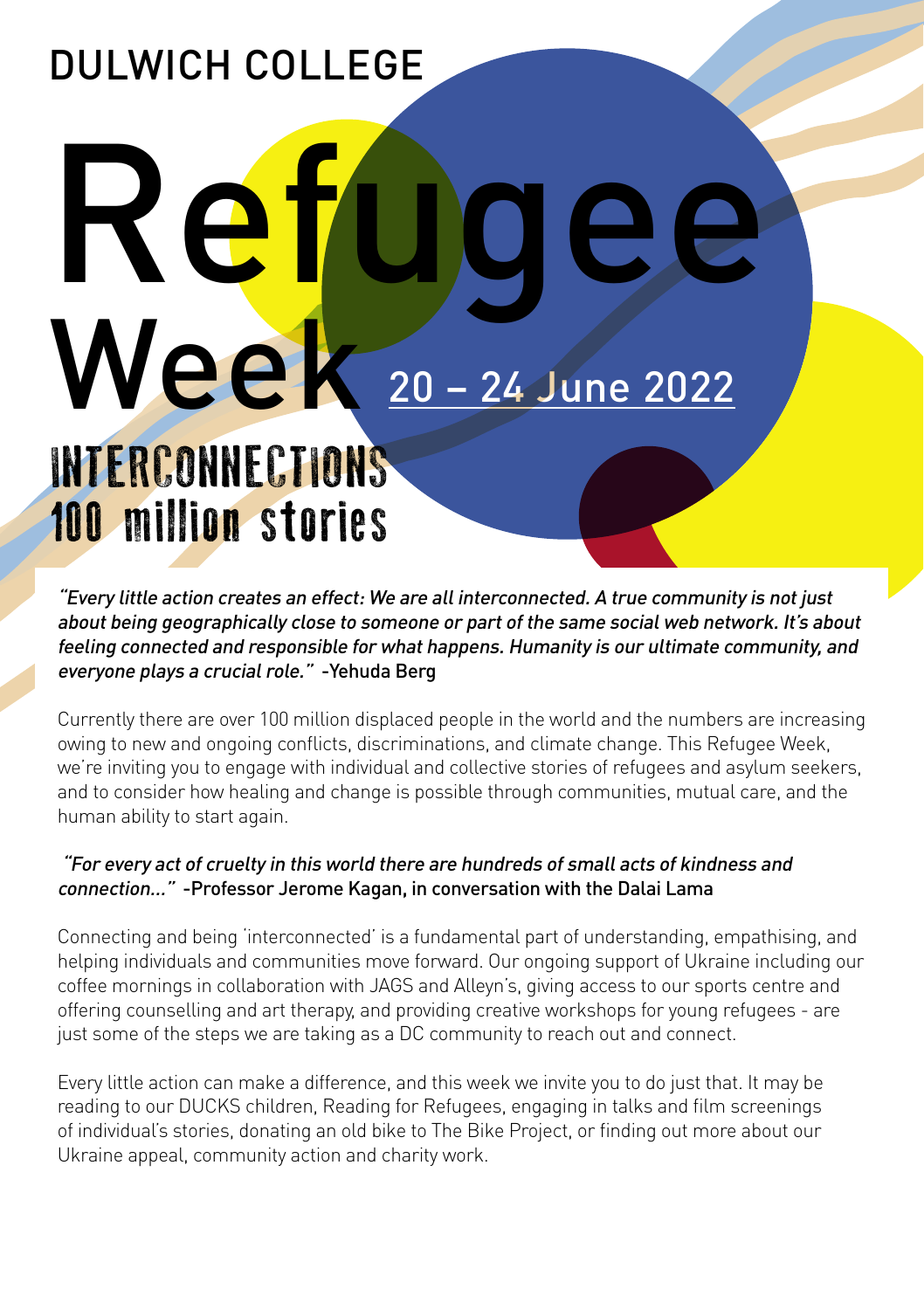### DULWICH COLLEGE

# Week 20 – 24 June 2022 INTERCONNECTIONS 100 million stories Re

"Every little action creates an effect: We are all interconnected. A true community is not just about being geographically close to someone or part of the same social web network. It's about feeling connected and responsible for what happens. Humanity is our ultimate community, and everyone plays a crucial role." -Yehuda Berg

Currently there are over 100 million displaced people in the world and the numbers are increasing owing to new and ongoing conflicts, discriminations, and climate change. This Refugee Week, we're inviting you to engage with individual and collective stories of refugees and asylum seekers, and to consider how healing and change is possible through communities, mutual care, and the human ability to start again.

### "For every act of cruelty in this world there are hundreds of small acts of kindness and connection…" -Professor Jerome Kagan, in conversation with the Dalai Lama

Connecting and being 'interconnected' is a fundamental part of understanding, empathising, and helping individuals and communities move forward. Our ongoing support of Ukraine including our coffee mornings in collaboration with JAGS and Alleyn's, giving access to our sports centre and offering counselling and art therapy, and providing creative workshops for young refugees - are just some of the steps we are taking as a DC community to reach out and connect.

Every little action can make a difference, and this week we invite you to do just that. It may be reading to our DUCKS children, Reading for Refugees, engaging in talks and film screenings of individual's stories, donating an old bike to The Bike Project, or finding out more about our Ukraine appeal, community action and charity work.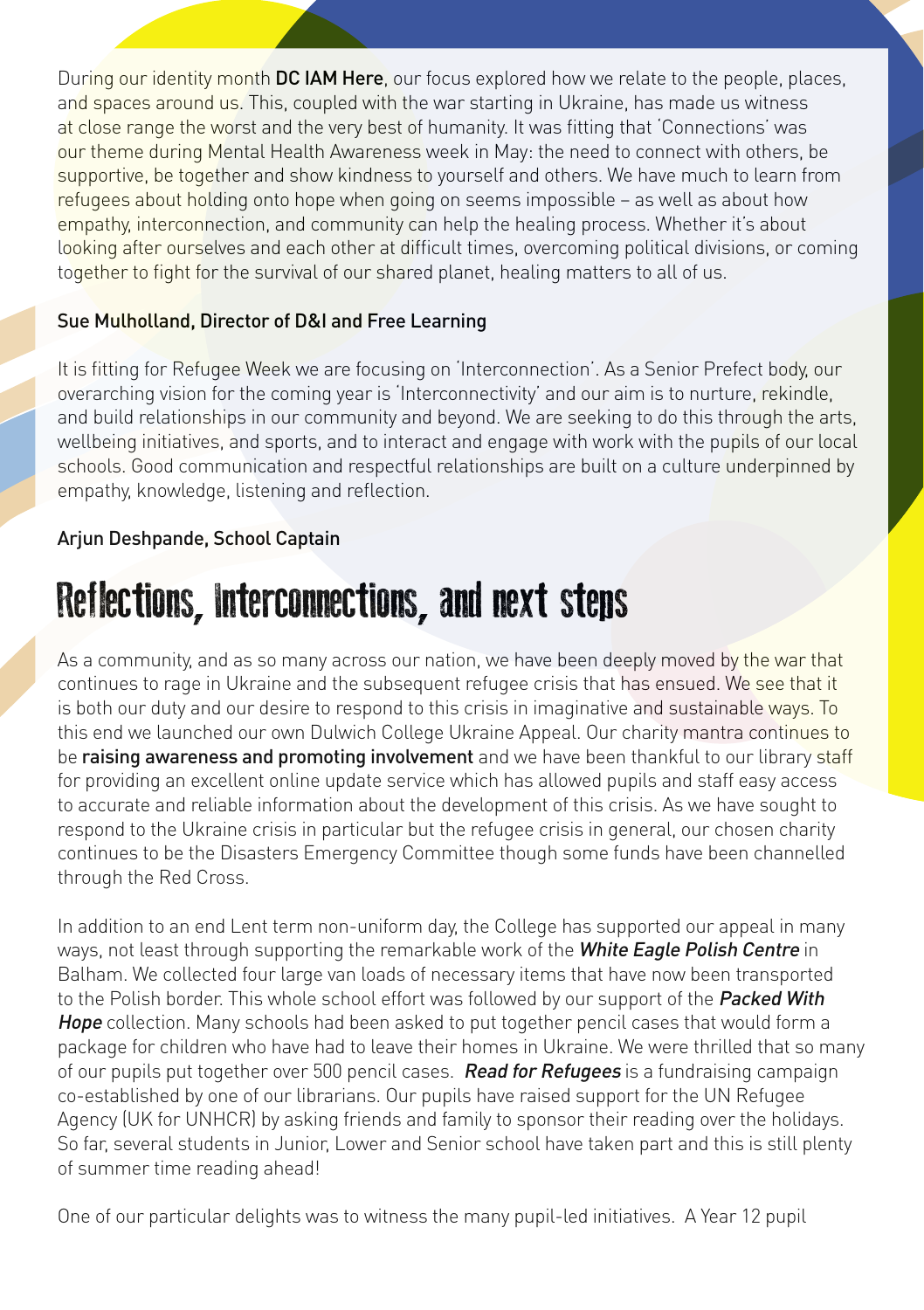During our identity month DC IAM Here, our focus explored how we relate to the people, places, and spaces around us. This, coupled with the war starting in Ukraine, has made us witness at close range the worst and the very best of humanity. It was fitting that 'Connections' was our theme during Mental Health Awareness week in May: the need to connect with others, be supportive, be together and show kindness to yourself and others. We have much to learn from refugees about holding onto hope when going on seems impossible – as well as about how empathy, interconnection, and community can help the healing process. Whether it's about looking after ourselves and each other at difficult times, overcoming political divisions, or coming together to fight for the survival of our shared planet, healing matters to all of us.

### Sue Mulholland, Director of D&I and Free Learning

It is fitting for Refugee Week we are focusing on 'Interconnection'. As a Senior Prefect body, our overarching vision for the coming year is 'Interconnectivity' and our aim is to nurture, rekindle, and build relationships in our community and beyond. We are seeking to do this through the arts, wellbeing initiatives, and sports, and to interact and engage with work with the pupils of our local schools. Good communication and respectful relationships are built on a culture underpinned by empathy, knowledge, listening and reflection.

### Arjun Deshpande, School Captain

### Reflections, Interconnections, and next steps

As a community, and as so many across our nation, we have been deeply moved by the war that continues to rage in Ukraine and the subsequent refugee crisis that has ensued. We see that it is both our duty and our desire to respond to this crisis in imaginative and sustainable ways. To this end we launched our own Dulwich College Ukraine Appeal. Our charity mantra continues to be raising awareness and promoting involvement and we have been thankful to our library staff for providing an excellent online update service which has allowed pupils and staff easy access to accurate and reliable information about the development of this crisis. As we have sought to respond to the Ukraine crisis in particular but the refugee crisis in general, our chosen charity continues to be the Disasters Emergency Committee though some funds have been channelled through the Red Cross.

In addition to an end Lent term non-uniform day, the College has supported our appeal in many ways, not least through supporting the remarkable work of the White Eagle Polish Centre in Balham. We collected four large van loads of necessary items that have now been transported to the Polish border. This whole school effort was followed by our support of the Packed With Hope collection. Many schools had been asked to put together pencil cases that would form a package for children who have had to leave their homes in Ukraine. We were thrilled that so many of our pupils put together over 500 pencil cases. Read for Refugees is a fundraising campaign co-established by one of our librarians. Our pupils have raised support for the UN Refugee Agency (UK for UNHCR) by asking friends and family to sponsor their reading over the holidays. So far, several students in Junior, Lower and Senior school have taken part and this is still plenty of summer time reading ahead!

One of our particular delights was to witness the many pupil-led initiatives. A Year 12 pupil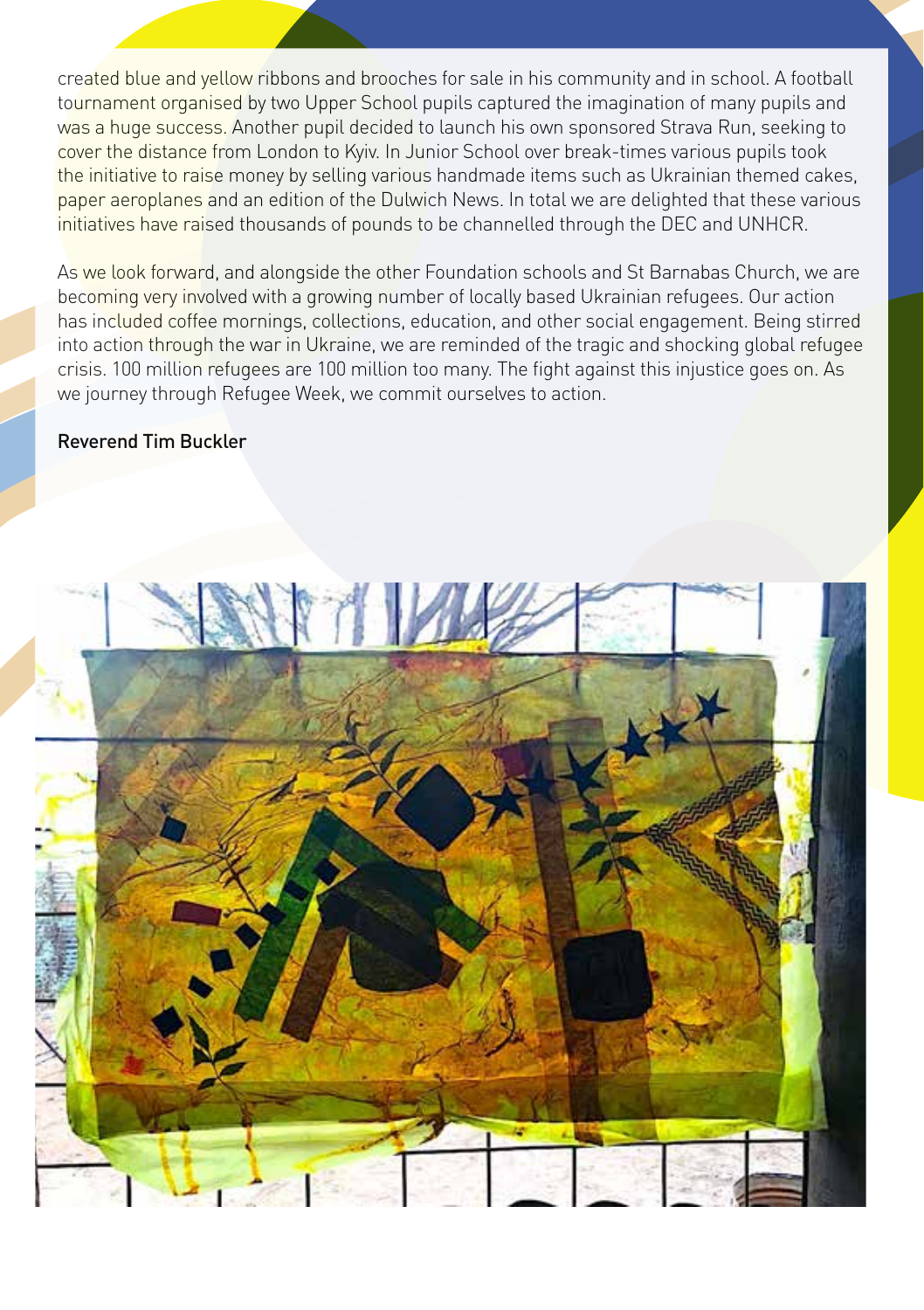created blue and yellow ribbons and brooches for sale in his community and in school. A football tournament organised by two Upper School pupils captured the imagination of many pupils and was a huge success. Another pupil decided to launch his own sponsored Strava Run, seeking to cover the distance from London to Kyiv. In Junior School over break-times various pupils took the initiative to raise money by selling various handmade items such as Ukrainian themed cakes, paper aeroplanes and an edition of the Dulwich News. In total we are delighted that these various initiatives have raised thousands of pounds to be channelled through the DEC and UNHCR.

As we look forward, and alongside the other Foundation schools and St Barnabas Church, we are becoming very involved with a growing number of locally based Ukrainian refugees. Our action has included coffee mornings, collections, education, and other social engagement. Being stirred into action through the war in Ukraine, we are reminded of the tragic and shocking global refugee crisis. 100 million refugees are 100 million too many. The fight against this injustice goes on. As we journey through Refugee Week, we commit ourselves to action.

#### Reverend Tim Buckler

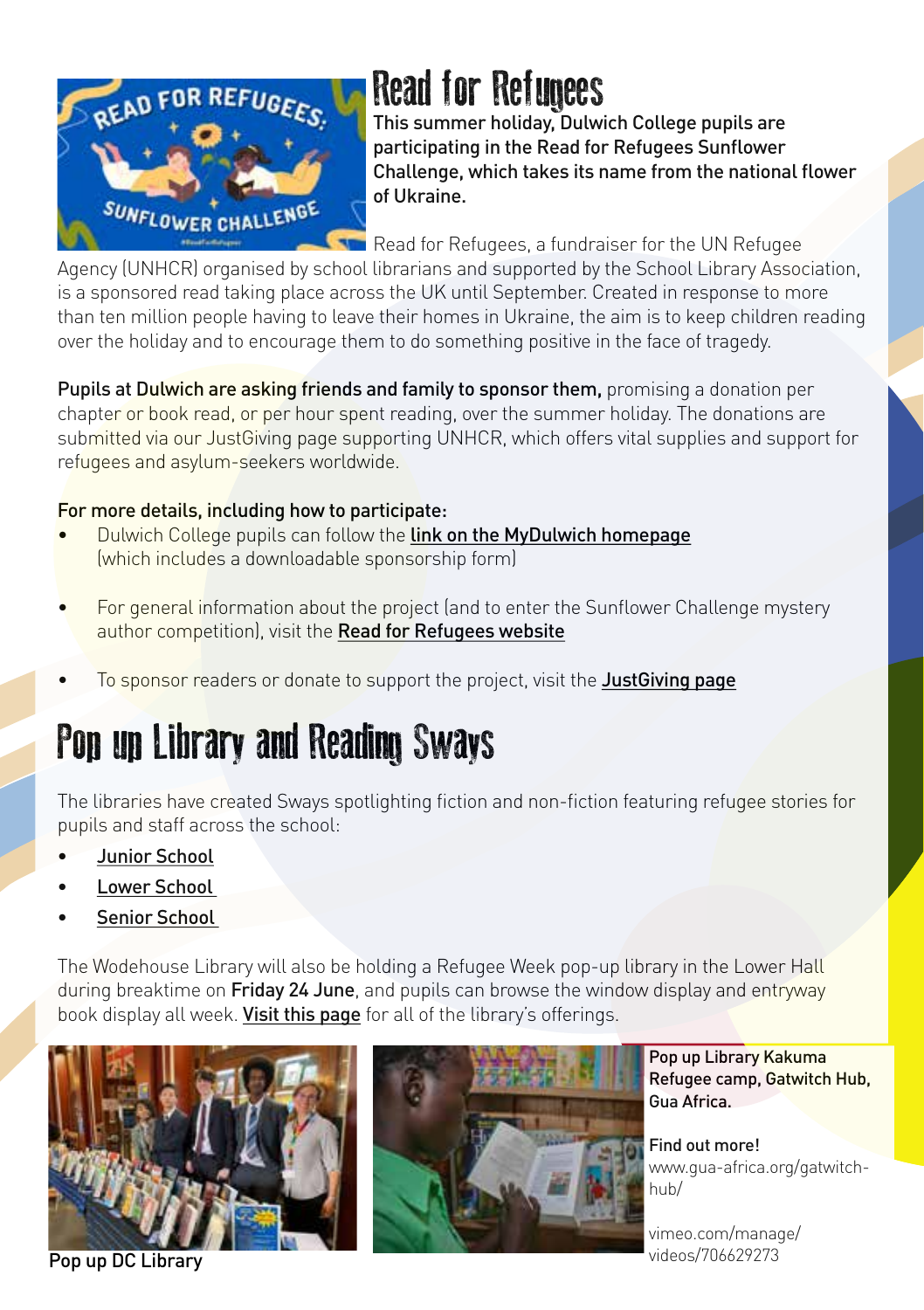

### Read for Refugees

This summer holiday, Dulwich College pupils are participating in the Read for Refugees Sunflower Challenge, which takes its name from the national flower of Ukraine.

Read for Refugees, a fundraiser for the UN Refugee

Agency (UNHCR) organised by school librarians and supported by the School Library Association, is a sponsored read taking place across the UK until September. Created in response to more than ten million people having to leave their homes in Ukraine, the aim is to keep children reading over the holiday and to encourage them to do something positive in the face of tragedy.

Pupils at Dulwich are asking friends and family to sponsor them, promising a donation per chapter or book read, or per hour spent reading, over the summer holiday. The donations are submitted via our JustGiving page supporting UNHCR, which offers vital supplies and support for refugees and asylum-seekers worldwide.

### For more details, including how to participate:

- Dulwich College pupils can follow the [link on the MyDulwich homepage](https://dulwichcollege.sharepoint.com/sites/libraries/SitePages/Read-for-Refugees.aspx?CT=1655369538448&OR=OWA-NT&CID=ebad9785-7c6c-ac37-af04-4dd9aa413e06) (which includes a downloadable sponsorship form)
- For general information about the project (and to enter the Sunflower Challenge mystery author competition), visit the [Read for Refugees website](https://www.sla.org.uk/read-for-refugees)
- To sponsor readers or donate to support the project, visit the [JustGiving page](https://www.justgiving.com/fundraising/dulwich-sunflower-challenge)

### Pop up Library and Reading Sways

The libraries have created Sways spotlighting fiction and non-fiction featuring refugee stories for pupils and staff across the school:

- [Junior School](https://sway.office.com/nAU5XZY1SGqyweoY)
- Lower School
- Senior School

The Wodehouse Library will also be holding a Refugee Week pop-up library in the Lower Hall during breaktime on Friday 24 June, and pupils can browse the window display and entryway book display all week. Visit [this page](https://dulwichcollege.sharepoint.com/sites/libraries/Pages/PageNotFoundError.aspx?requestUrl=https://dulwichcollege.sharepoint.com/sites/libraries/SitePages/Refugee-Week-in-the-Libraries.aspx) for all of the library's offerings.





Pop up Library Kakuma Refugee camp, Gatwitch Hub, Gua Africa.

Find out more! [www.gua-africa.org/gatwitch](http://www.gua-africa.org/gatwitch-hub/)[hub/](http://www.gua-africa.org/gatwitch-hub/)

[vimeo.com/manage/](http://vimeo.com/manage/videos/706629273) [videos/706629273](http://vimeo.com/manage/videos/706629273)

Pop up DC Library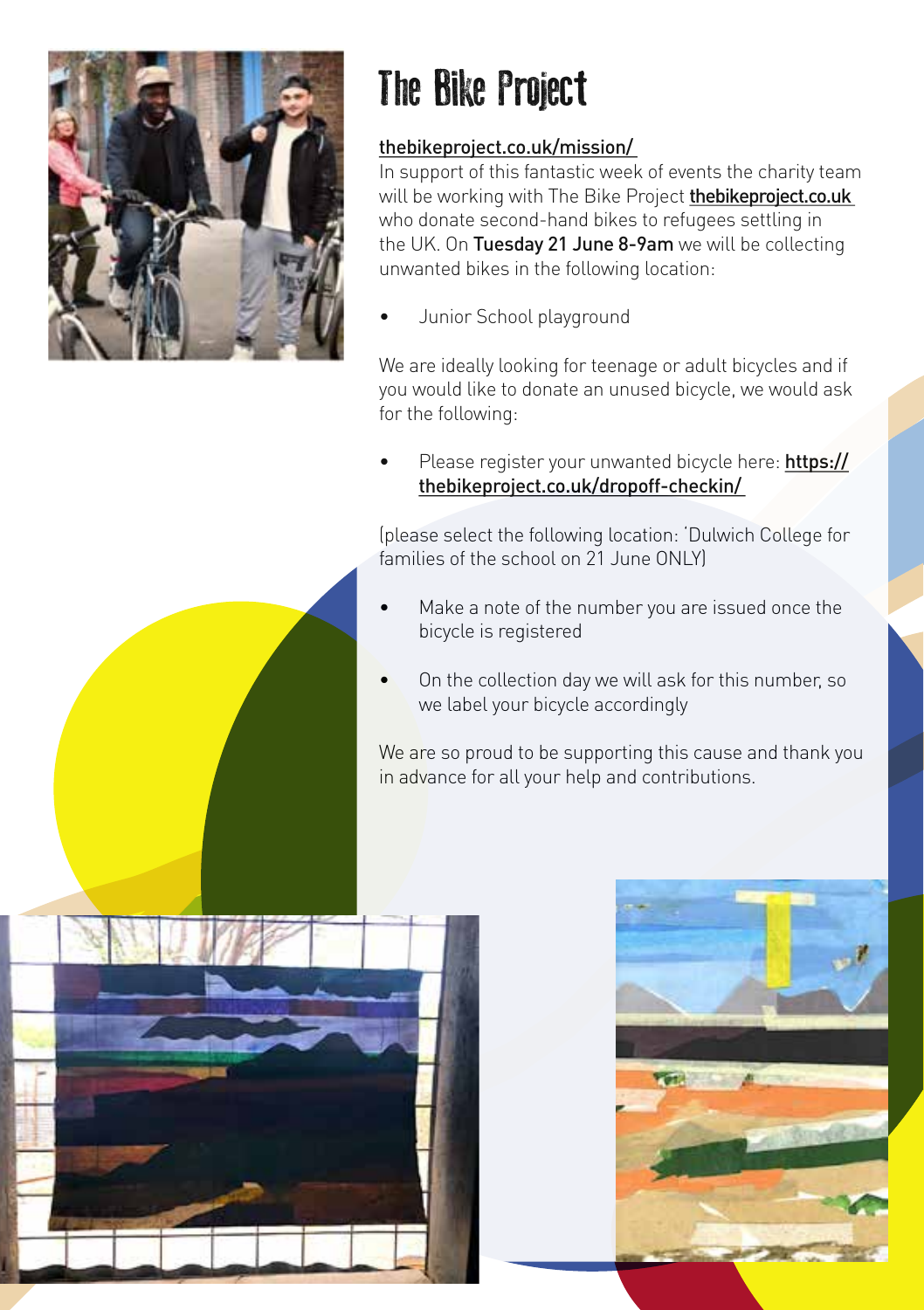

## The Bike Project

### [thebikeproject.co.uk/mission/](http://thebikeproject.co.uk/mission/)

In support of this fantastic week of events the charity team will be working with The Bike Project [thebikeproject.co.uk](http://thebikeproject.co.uk) who donate second-hand bikes to refugees settling in the UK. On Tuesday 21 June 8-9am we will be collecting unwanted bikes in the following location:

• Junior School playground

We are ideally looking for teenage or adult bicycles and if you would like to donate an unused bicycle, we would ask for the following:

Please register your unwanted bicycle here: [https://](https://thebikeproject.co.uk/dropoff-checkin/) [thebikeproject.co.uk/dropoff-checkin/](https://thebikeproject.co.uk/dropoff-checkin/)

(please select the following location: 'Dulwich College for families of the school on 21 June ONLY

- Make a note of the number you are issued once the bicycle is registered
- On the collection day we will ask for this number, so we label your bicycle accordingly

We are so proud to be supporting this cause and thank you in advance for all your help and contributions.



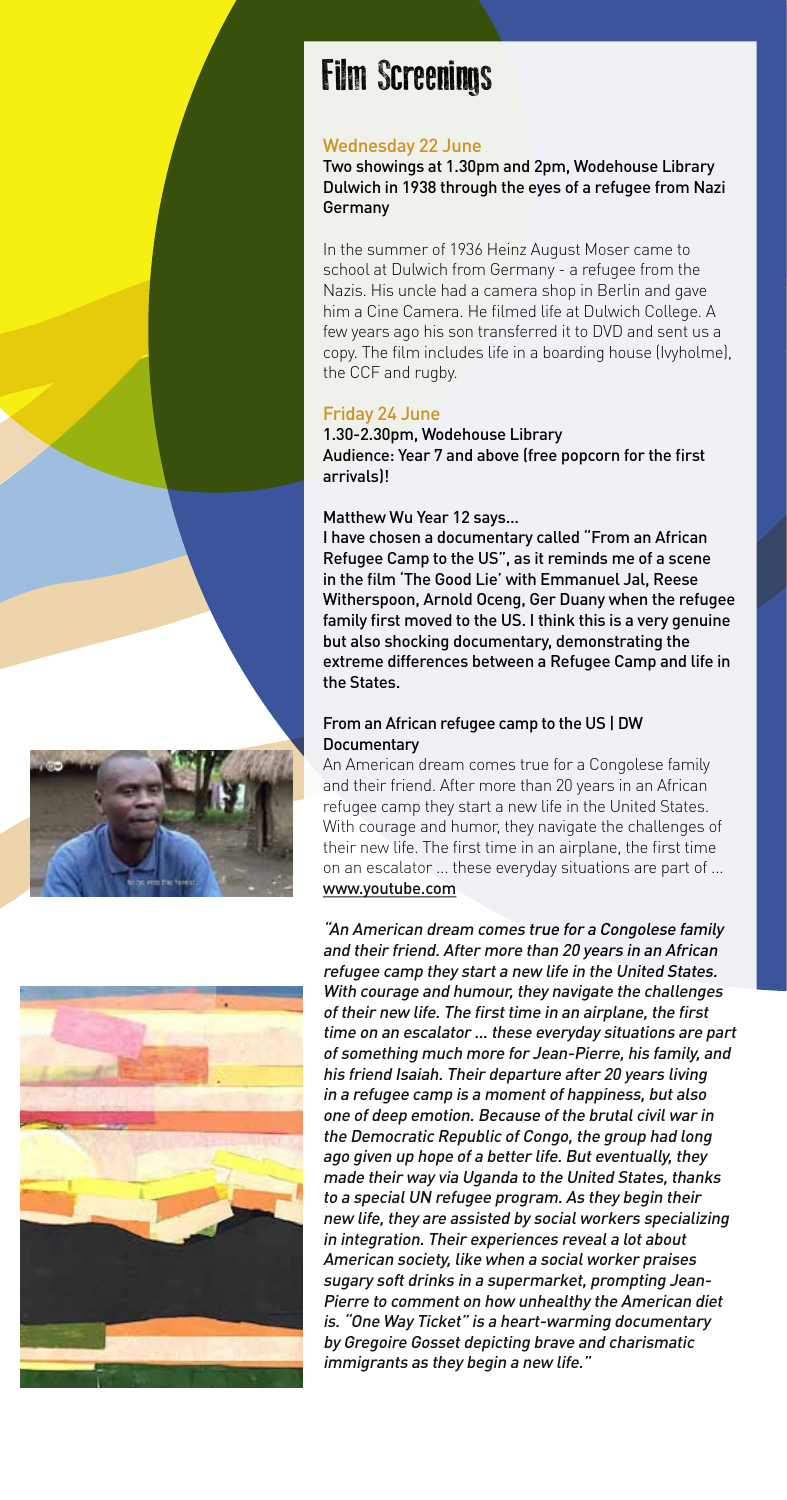### Film Screenings

### Wednesday 22 June

Two showings at 1.30pm and 2pm, Wodehouse Library Dulwich in 1938 through the eyes of a refugee from Nazi Germany

In the summer of 1936 Heinz August Moser came to school at Dulwich from Germany - a refugee from the Nazis. His uncle had a camera shop in Berlin and gave him a Cine Camera. He filmed life at Dulwich College. A few years ago his son transferred it to DVD and sent us a copy. The film includes life in a boarding house (Ivyholme), the CCF and rugby.

### Friday 24 June

1.30-2.30pm, Wodehouse Library Audience: Year 7 and above (free popcorn for the first arrivals)!

### Matthew Wu Year 12 says...

I have chosen a documentary called "From an African Refugee Camp to the US", as it reminds me of a scene in the film 'The Good Lie' with Emmanuel Jal, Reese Witherspoon, Arnold Oceng, Ger Duany when the refugee family first moved to the US. I think this is a very genuine but also shocking documentary, demonstrating the extreme differences between a Refugee Camp and life in the States.

### From an African refugee camp to the US | DW **Documentary**

An American dream comes true for a Congolese family and their friend. After more than 20 years in an African refugee camp they start a new life in the United States. With courage and humor, they navigate the challenges of their new life. The first time in an airplane, the first time on an escalator ... these everyday situations are part of ... [www.youtube.com](http://www.youtube.com)



"An American dream comes true for a Congolese family and their friend. After more than 20 years in an African refugee camp they start a new life in the United States. With courage and humour, they navigate the challenges of their new life. The first time in an airplane, the first time on an escalator ... these everyday situations are part of something much more for Jean-Pierre, his family, and his friend Isaiah. Their departure after 20 years living in a refugee camp is a moment of happiness, but also one of deep emotion. Because of the brutal civil war in the Democratic Republic of Congo, the group had long ago given up hope of a better life. But eventually, they made their way via Uganda to the United States, thanks to a special UN refugee program. As they begin their new life, they are assisted by social workers specializing in integration. Their experiences reveal a lot about American society, like when a social worker praises sugary soft drinks in a supermarket, prompting Jean-Pierre to comment on how unhealthy the American diet is. "One Way Ticket" is a heart-warming documentary by Gregoire Gosset depicting brave and charismatic immigrants as they begin a new life."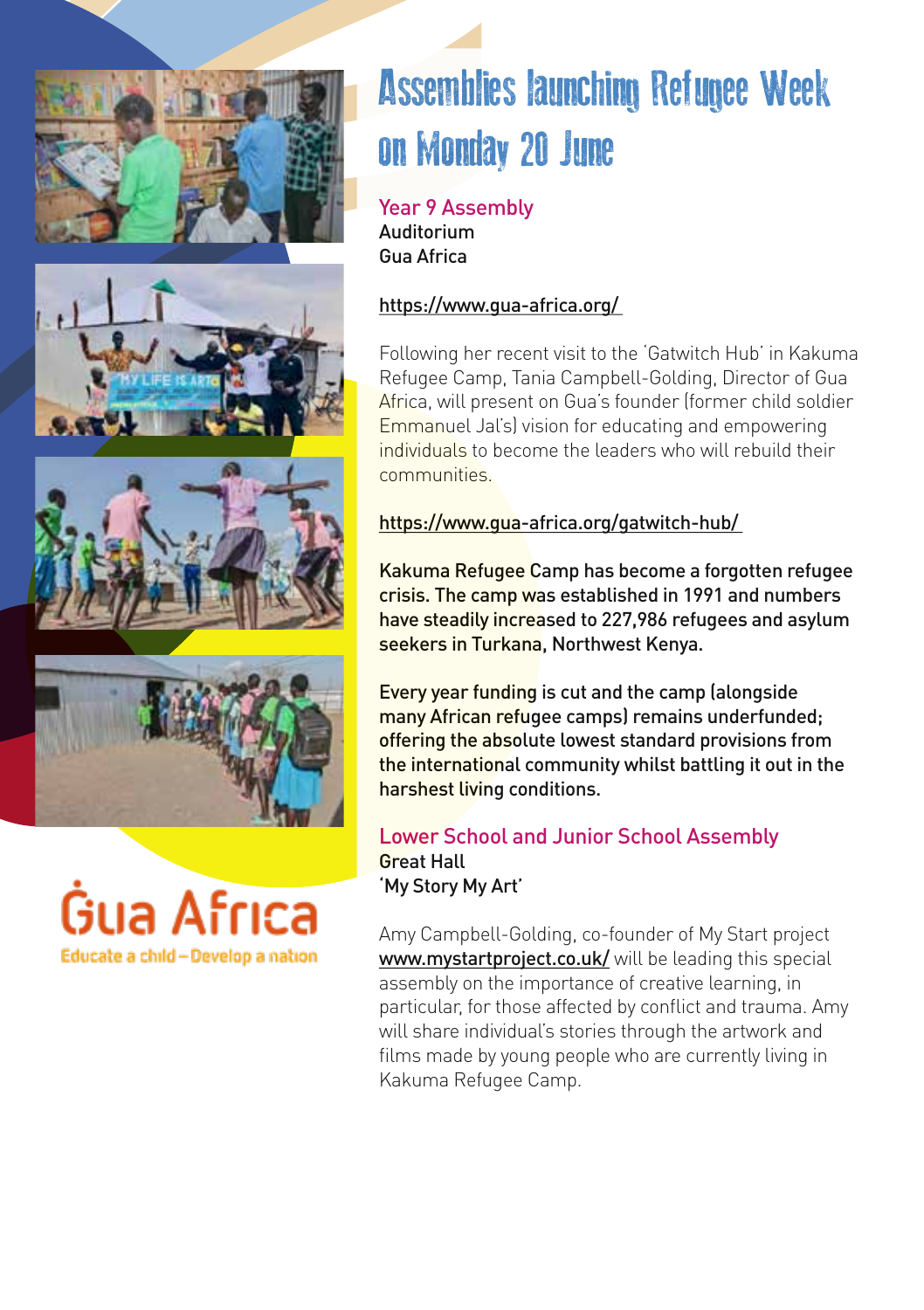







## Assemblies launching Refugee Week on Monday 20 June

Year 9 Assembly Auditorium Gua Africa

### <https://www.gua-africa.org/>

Following her recent visit to the 'Gatwitch Hub' in Kakuma Refugee Camp, Tania Campbell-Golding, Director of Gua Africa, will present on Gua's founder (former child soldier Emmanuel Jal's) vision for educating and empowering individuals to become the leaders who will rebuild their communities.

### <https://www.gua-africa.org/gatwitch-hub/>

Kakuma Refugee Camp has become a forgotten refugee crisis. The camp was established in 1991 and numbers have steadily increased to 227,986 refugees and asylum seekers in Turkana, Northwest Kenya.

Every year funding is cut and the camp (alongside many African refugee camps) remains underfunded; offering the absolute lowest standard provisions from the international community whilst battling it out in the harshest living conditions.

#### Lower School and Junior School Assembly Great Hall 'My Story My Art'

Amy Campbell-Golding, co-founder of My Start project [www.mystartproject.co.uk/](http://www.mystartproject.co.uk/) will be leading this special assembly on the importance of creative learning, in particular, for those affected by conflict and trauma. Amy will share individual's stories through the artwork and films made by young people who are currently living in Kakuma Refugee Camp.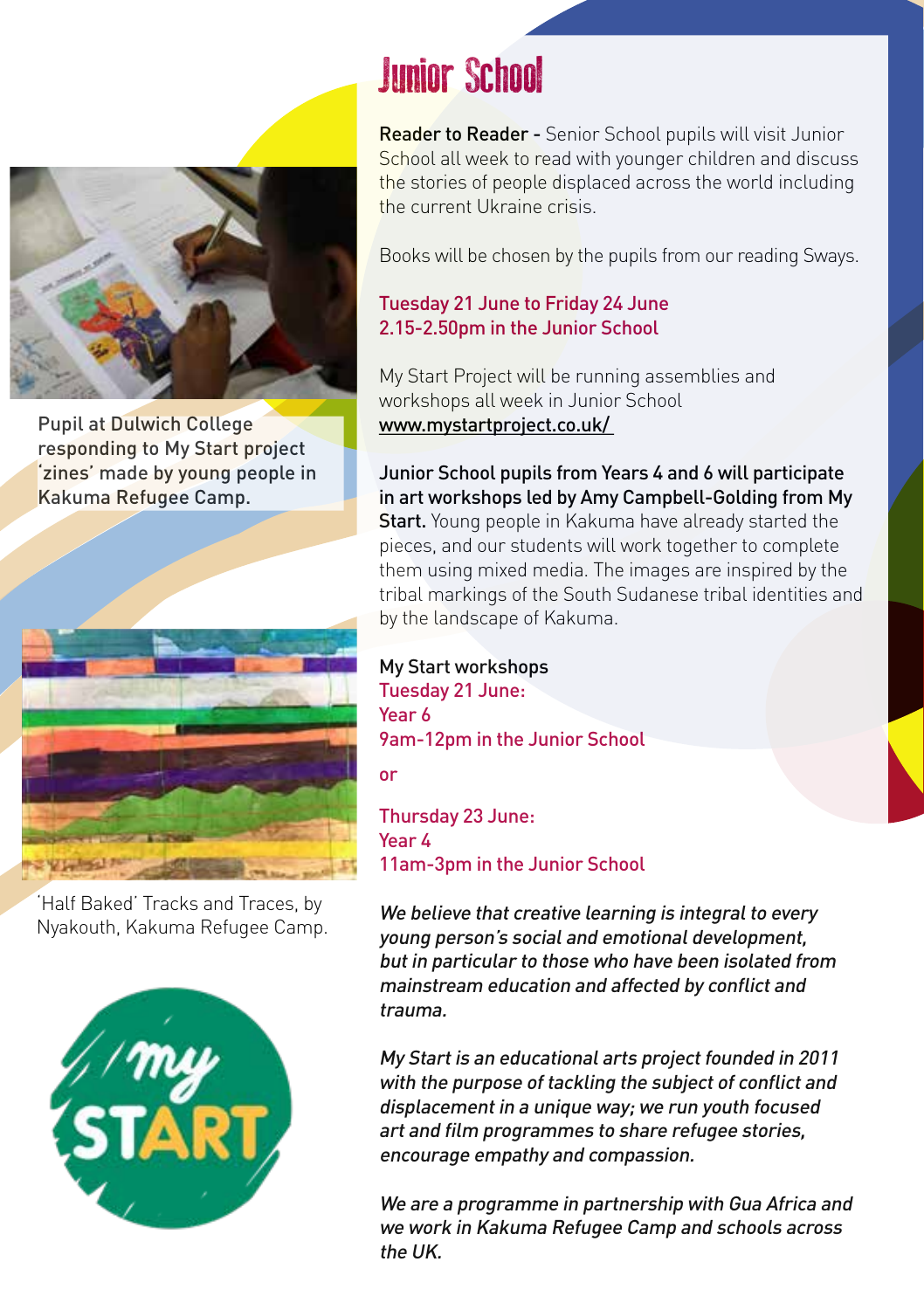

Pupil at Dulwich College responding to My Start project 'zines' made by young people in Kakuma Refugee Camp.



'Half Baked' Tracks and Traces, by Nyakouth, Kakuma Refugee Camp.



### Junior School

Reader to Reader - Senior School pupils will visit Junior School all week to read with younger children and discuss the stories of people displaced across the world including the current Ukraine crisis.

Books will be chosen by the pupils from our reading Sways.

### Tuesday 21 June to Friday 24 June 2.15-2.50pm in the Junior School

My Start Project will be running assemblies and workshops all week in Junior School [www.mystartproject.co.uk/](http://www.mystartproject.co.uk/)

Junior School pupils from Years 4 and 6 will participate in art workshops led by Amy Campbell-Golding from My Start. Young people in Kakuma have already started the pieces, and our students will work together to complete them using mixed media. The images are inspired by the tribal markings of the South Sudanese tribal identities and by the landscape of Kakuma.

### My Start workshops

Tuesday 21 June: Year 6 9am-12pm in the Junior School

or

Thursday 23 June: Year 4 11am-3pm in the Junior School

We believe that creative learning is integral to every young person's social and emotional development, but in particular to those who have been isolated from mainstream education and affected by conflict and trauma.

My Start is an educational arts project founded in 2011 with the purpose of tackling the subject of conflict and displacement in a unique way; we run youth focused art and film programmes to share refugee stories, encourage empathy and compassion.

We are a programme in partnership with Gua Africa and we work in Kakuma Refugee Camp and schools across the UK.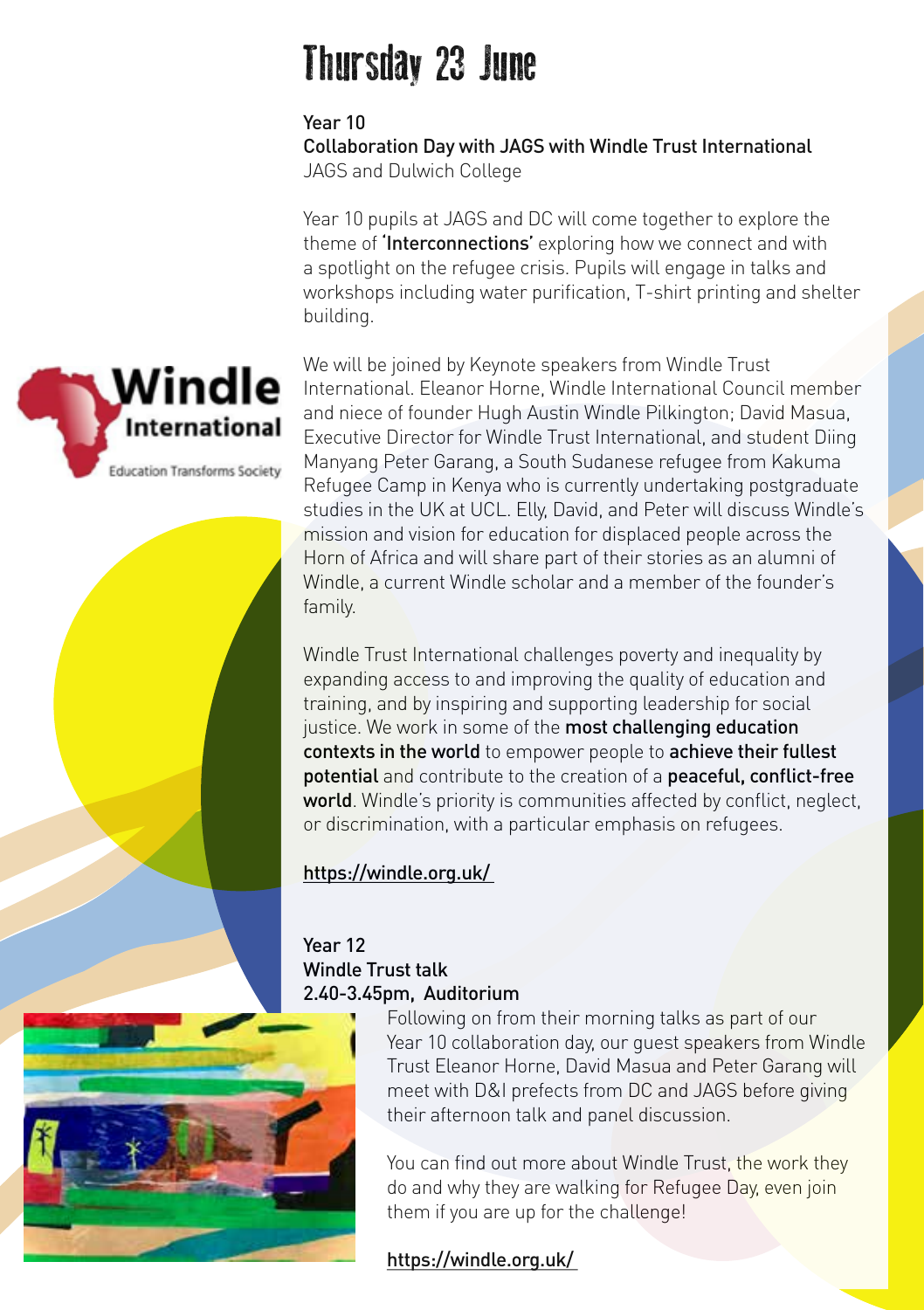### Thursday 23 June

Year 10

Collaboration Day with JAGS with Windle Trust International JAGS and Dulwich College

Year 10 pupils at JAGS and DC will come together to explore the theme of **'Interconnections'** exploring how we connect and with a spotlight on the refugee crisis. Pupils will engage in talks and workshops including water purification, T-shirt printing and shelter building.

We will be joined by Keynote speakers from Windle Trust International. Eleanor Horne, Windle International Council member and niece of founder Hugh Austin Windle Pilkington; David Masua, Executive Director for Windle Trust International, and student Diing Manyang Peter Garang, a South Sudanese refugee from Kakuma Refugee Camp in Kenya who is currently undertaking postgraduate studies in the UK at UCL. Elly, David, and Peter will discuss Windle's mission and vision for education for displaced people across the Horn of Africa and will share part of their stories as an alumni of Windle, a current Windle scholar and a member of the founder's family.

Windle Trust International challenges poverty and inequality by expanding access to and improving the quality of education and training, and by inspiring and supporting leadership for social justice. We work in some of the most challenging education contexts in the world to empower people to achieve their fullest potential and contribute to the creation of a peaceful, conflict-free world. Windle's priority is communities affected by conflict, neglect, or discrimination, with a particular emphasis on refugees.

### <https://windle.org.uk/>

Year 12 Windle Trust talk 2.40-3.45pm, Auditorium



Following on from their morning talks as part of our Year 10 collaboration day, our guest speakers from Windle Trust Eleanor Horne, David Masua and Peter Garang will meet with D&I prefects from DC and JAGS before giving their afternoon talk and panel discussion.

You can find out more about Windle Trust, the work they do and why they are walking for Refugee Day, even join them if you are up for the challenge!

### <https://windle.org.uk/>

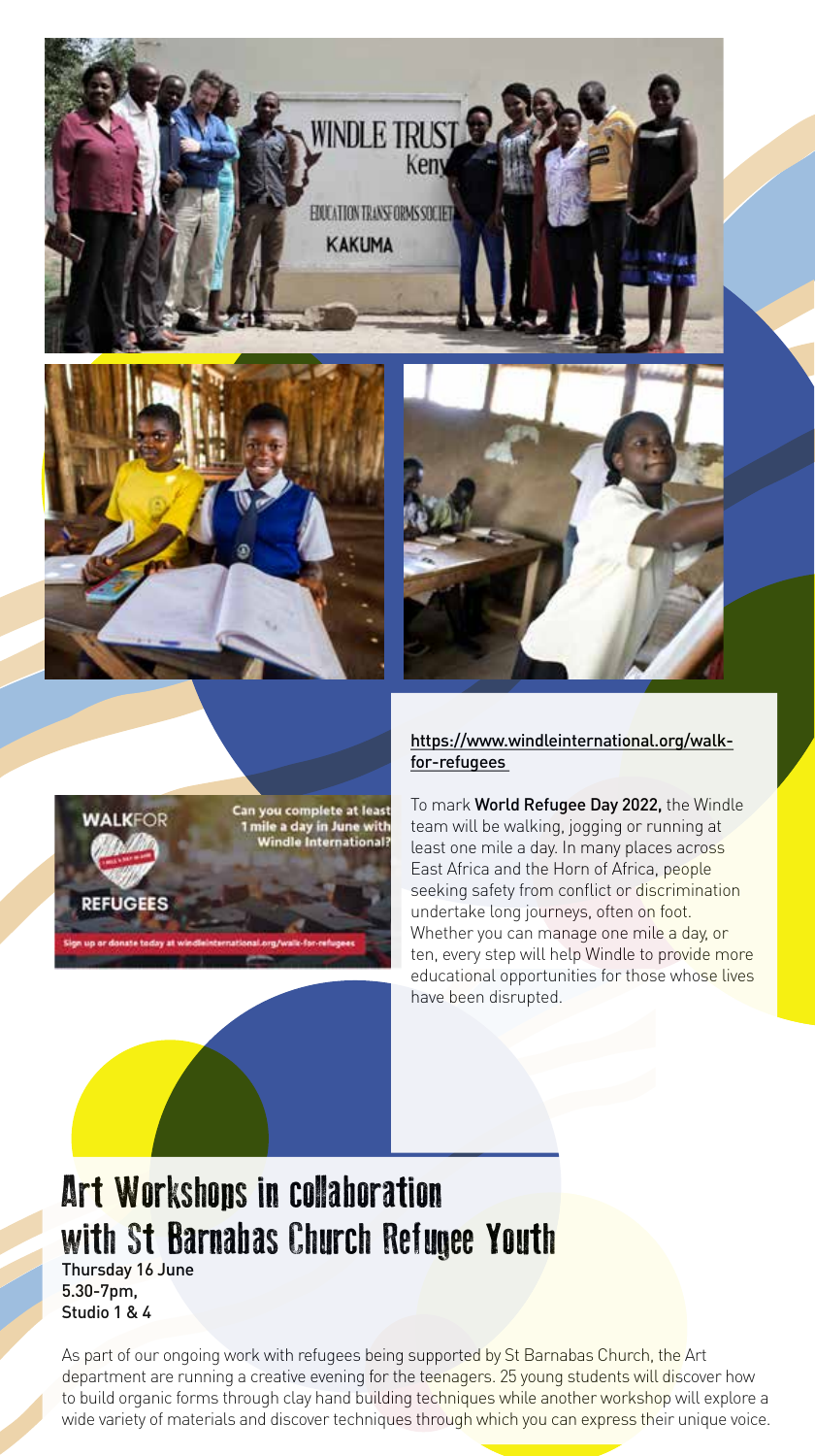



**WINDLE TRUST** 

FRICATION TRANSDRMS SOFTEN **KAKUMA** 

Ken



### [https://www.windleinternational.org/walk](https://www.windleinternational.org/walk-for-refugees)[for-refugees](https://www.windleinternational.org/walk-for-refugees)

To mark World Refugee Day 2022, the Windle team will be walking, jogging or running at least one mile a day. In many places across East Africa and the Horn of Africa, people seeking safety from conflict or discrimination undertake long journeys, often on foot. Whether you can manage one mile a day, or ten, every step will help Windle to provide more educational opportunities for those whose lives have been disrupted.

### Art Workshops in collaboration with St Barnabas Church Refugee Youth

Thursday 16 June 5.30-7pm, Studio 1 & 4

As part of our ongoing work with refugees being supported by St Barnabas Church, the Art department are running a creative evening for the teenagers. 25 young students will discover how to build organic forms through clay hand building techniques while another workshop will explore a wide variety of materials and discover techniques through which you can express their unique voice.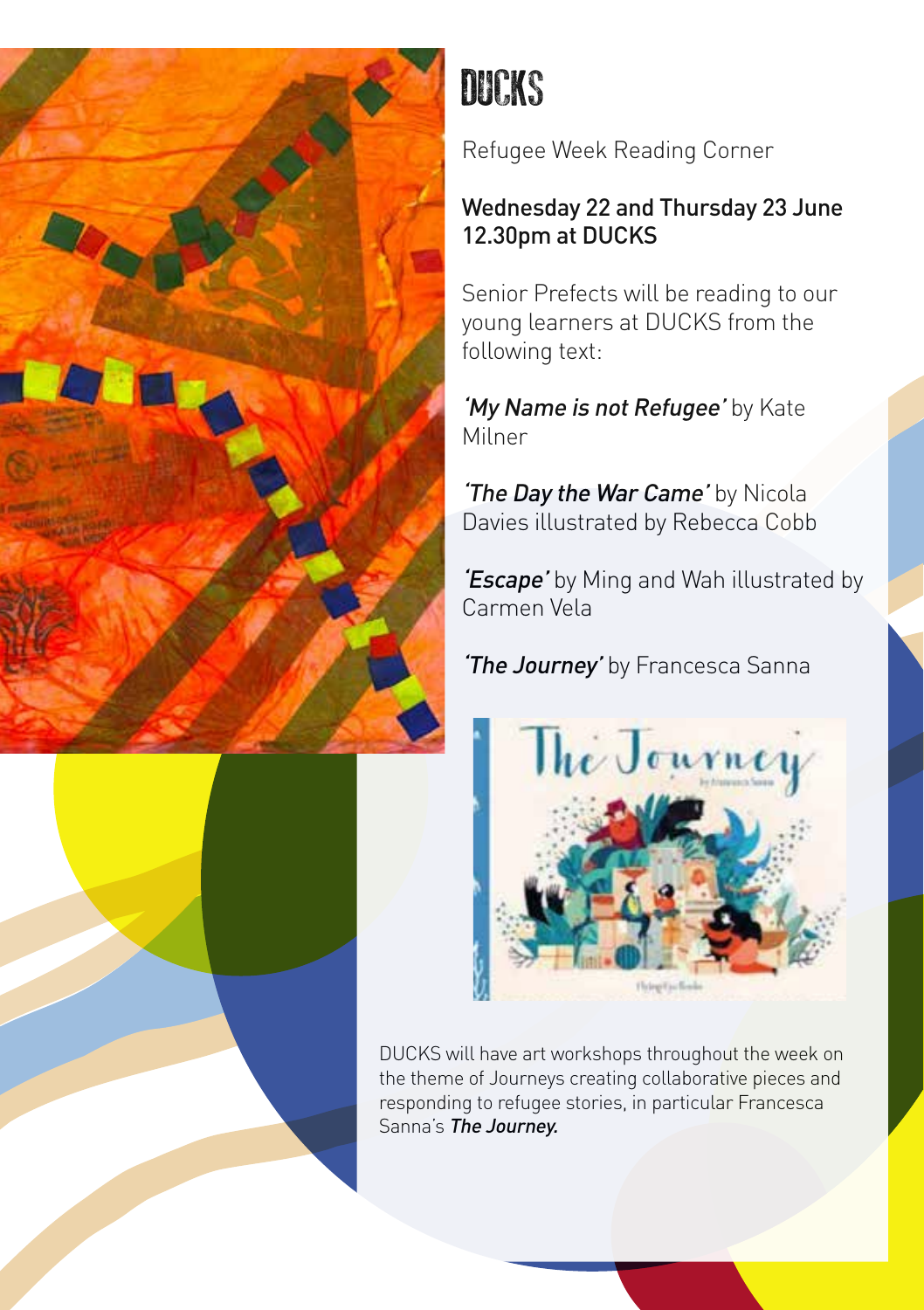



Refugee Week Reading Corner

### Wednesday 22 and Thursday 23 June 12.30pm at DUCKS

Senior Prefects will be reading to our young learners at DUCKS from the following text:

'My Name is not Refugee' by Kate Milner

'The Day the War Came' by Nicola Davies illustrated by Rebecca Cobb

'Escape' by Ming and Wah illustrated by Carmen Vela

'The Journey' by Francesca Sanna



DUCKS will have art workshops throughout the week on the theme of Journeys creating collaborative pieces and responding to refugee stories, in particular Francesca Sanna's The Journey.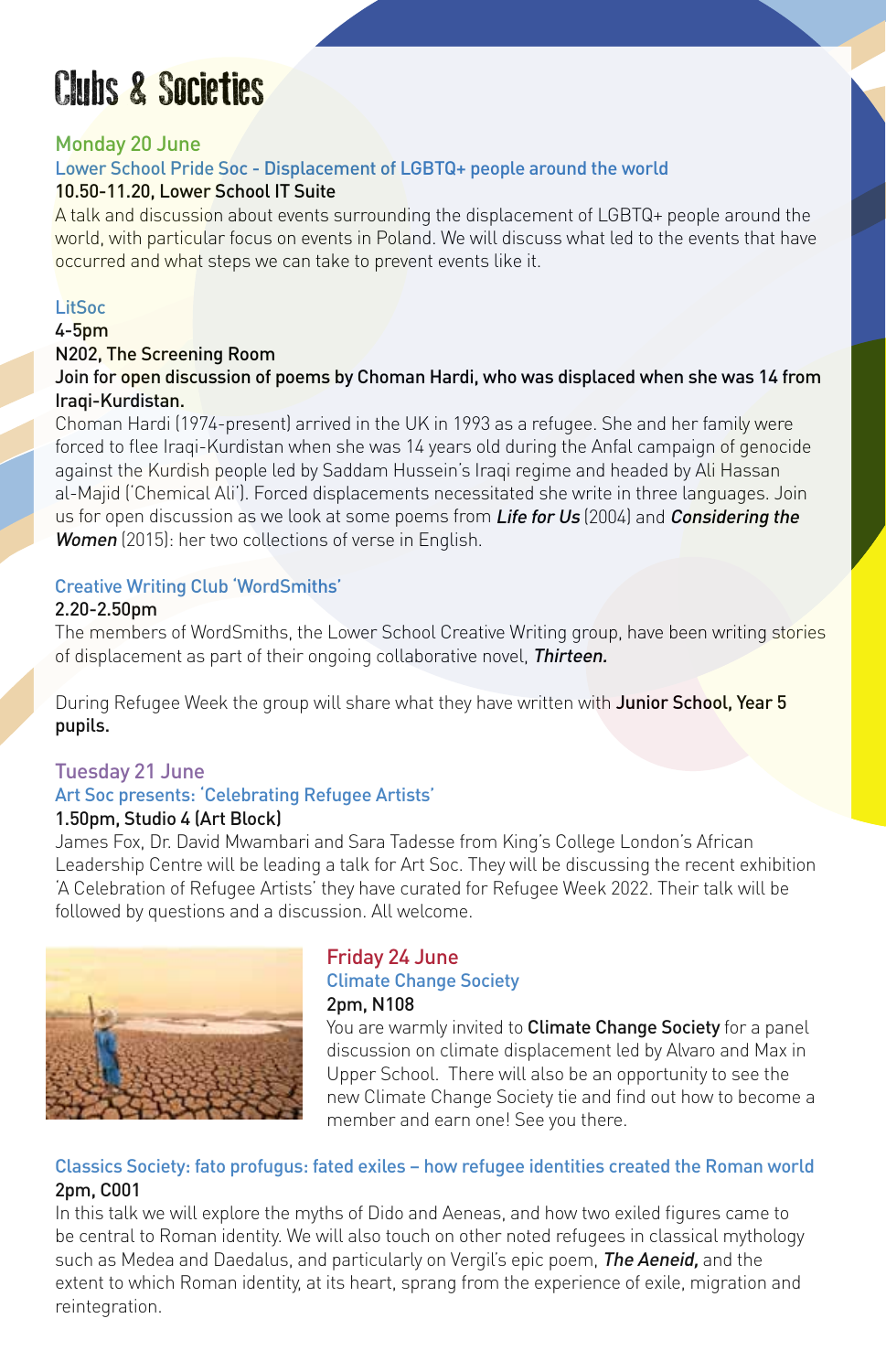### Clubs & Societies

#### Monday 20 June

#### Lower School Pride Soc - Displacement of LGBTQ+ people around the world 10.50-11.20, Lower School IT Suite

A talk and discussion about events surrounding the displacement of LGBTQ+ people around the world, with particular focus on events in Poland. We will discuss what led to the events that have occurred and what steps we can take to prevent events like it.

#### LitSoc

#### 4-5pm

#### N202, The Screening Room

Join for open discussion of poems by Choman Hardi, who was displaced when she was 14 from Iraqi-Kurdistan.

Choman Hardi (1974-present) arrived in the UK in 1993 as a refugee. She and her family were forced to flee Iraqi-Kurdistan when she was 14 years old during the Anfal campaign of genocide against the Kurdish people led by Saddam Hussein's Iraqi regime and headed by Ali Hassan al-Majid ('Chemical Ali'). Forced displacements necessitated she write in three languages. Join us for open discussion as we look at some poems from Life for Us (2004) and Considering the Women (2015): her two collections of verse in English.

#### Creative Writing Club 'WordSmiths'

#### 2.20-2.50pm

The members of WordSmiths, the Lower School Creative Writing group, have been writing stories of displacement as part of their ongoing collaborative novel, Thirteen.

During Refugee Week the group will share what they have written with Junior School, Year 5 pupils.

### Tuesday 21 June

### Art Soc presents: 'Celebrating Refugee Artists'

### 1.50pm, Studio 4 (Art Block)

James Fox, Dr. David Mwambari and Sara Tadesse from King's College London's African Leadership Centre will be leading a talk for Art Soc. They will be discussing the recent exhibition 'A Celebration of Refugee Artists' they have curated for Refugee Week 2022. Their talk will be followed by questions and a discussion. All welcome.



#### Friday 24 June Climate Change Society 2pm, N108

You are warmly invited to **Climate Change Society** for a panel discussion on climate displacement led by Alvaro and Max in Upper School. There will also be an opportunity to see the new Climate Change Society tie and find out how to become a member and earn one! See you there.

#### Classics Society: fato profugus: fated exiles – how refugee identities created the Roman world 2pm, C001

In this talk we will explore the myths of Dido and Aeneas, and how two exiled figures came to be central to Roman identity. We will also touch on other noted refugees in classical mythology such as Medea and Daedalus, and particularly on Vergil's epic poem, **The Aeneid**, and the extent to which Roman identity, at its heart, sprang from the experience of exile, migration and reintegration.